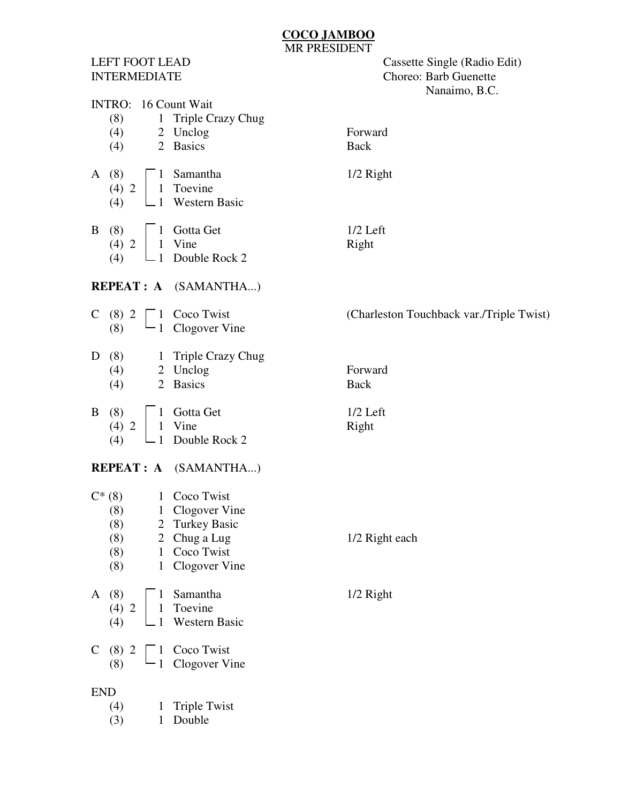## **COCO JAMBOO** MR PRESIDENT

LEFT FOOT LEAD Cassette Single (Radio Edit) INTERMEDIATE Choreo: Barb Guenette Nanaimo, B.C.

|                      |            |                                 | $\ldots$                                 |  |  |  |  |  |  |  |
|----------------------|------------|---------------------------------|------------------------------------------|--|--|--|--|--|--|--|
| INTRO: 16 Count Wait |            |                                 |                                          |  |  |  |  |  |  |  |
|                      | (8)        | Triple Crazy Chug<br>1          | Forward                                  |  |  |  |  |  |  |  |
|                      | (4)<br>(4) | 2 Unclog<br>2 Basics            | <b>Back</b>                              |  |  |  |  |  |  |  |
|                      |            |                                 |                                          |  |  |  |  |  |  |  |
| A                    | (8)        | Samantha<br>$\mathbf{1}$        | $1/2$ Right                              |  |  |  |  |  |  |  |
|                      | (4) 2      | Toevine<br>$\mathbf 1$          |                                          |  |  |  |  |  |  |  |
|                      | (4)        | Western Basic<br>1              |                                          |  |  |  |  |  |  |  |
|                      |            |                                 |                                          |  |  |  |  |  |  |  |
| B                    | (8)        | Gotta Get<br>$\mathbf{1}$       | $1/2$ Left                               |  |  |  |  |  |  |  |
|                      | $(4)$ 2    | Vine<br>$\mathbf{1}$            | Right                                    |  |  |  |  |  |  |  |
|                      | (4)<br>1   | Double Rock 2                   |                                          |  |  |  |  |  |  |  |
|                      |            |                                 |                                          |  |  |  |  |  |  |  |
|                      |            | <b>REPEAT : A</b> (SAMANTHA)    |                                          |  |  |  |  |  |  |  |
|                      | $C(8)$ 2   | Coco Twist<br>1                 | (Charleston Touchback var./Triple Twist) |  |  |  |  |  |  |  |
|                      | (8)        | Clogover Vine<br>$\mathbf{1}$   |                                          |  |  |  |  |  |  |  |
|                      |            |                                 |                                          |  |  |  |  |  |  |  |
| D                    | (8)        | 1 Triple Crazy Chug             |                                          |  |  |  |  |  |  |  |
|                      | (4)        | 2 Unclog                        | Forward                                  |  |  |  |  |  |  |  |
|                      | (4)        | 2 Basics                        | <b>Back</b>                              |  |  |  |  |  |  |  |
|                      |            |                                 |                                          |  |  |  |  |  |  |  |
| B                    | (8)        | Gotta Get                       | $1/2$ Left                               |  |  |  |  |  |  |  |
|                      | $(4)$ 2    | Vine<br>$\mathbf{1}$            | Right                                    |  |  |  |  |  |  |  |
|                      | (4)<br>1   | Double Rock 2                   |                                          |  |  |  |  |  |  |  |
|                      |            | <b>REPEAT : A</b> (SAMANTHA)    |                                          |  |  |  |  |  |  |  |
|                      |            |                                 |                                          |  |  |  |  |  |  |  |
|                      | $C^*(8)$   | Coco Twist<br>1                 |                                          |  |  |  |  |  |  |  |
|                      | (8)        | Clogover Vine<br>$\mathbf{1}$   |                                          |  |  |  |  |  |  |  |
|                      | (8)        | 2 Turkey Basic                  |                                          |  |  |  |  |  |  |  |
|                      | (8)        | 2 Chug a Lug                    | 1/2 Right each                           |  |  |  |  |  |  |  |
|                      | (8)        | $\mathbf{1}$<br>Coco Twist      |                                          |  |  |  |  |  |  |  |
|                      | (8)        | Clogover Vine<br>$\mathbf{1}$   |                                          |  |  |  |  |  |  |  |
| $\mathbf{A}$         | (8)        | Samantha                        | 1/2 Right                                |  |  |  |  |  |  |  |
|                      | $(4)$ 2    | Toevine                         |                                          |  |  |  |  |  |  |  |
|                      | (4)        | Western Basic                   |                                          |  |  |  |  |  |  |  |
|                      |            |                                 |                                          |  |  |  |  |  |  |  |
|                      | $C(8)$ 2   | Coco Twist                      |                                          |  |  |  |  |  |  |  |
|                      | (8)        | Clogover Vine                   |                                          |  |  |  |  |  |  |  |
|                      |            |                                 |                                          |  |  |  |  |  |  |  |
| <b>END</b>           |            |                                 |                                          |  |  |  |  |  |  |  |
|                      | (4)        | <b>Triple Twist</b><br>$\bf{l}$ |                                          |  |  |  |  |  |  |  |
|                      | (3)        | Double<br>1                     |                                          |  |  |  |  |  |  |  |